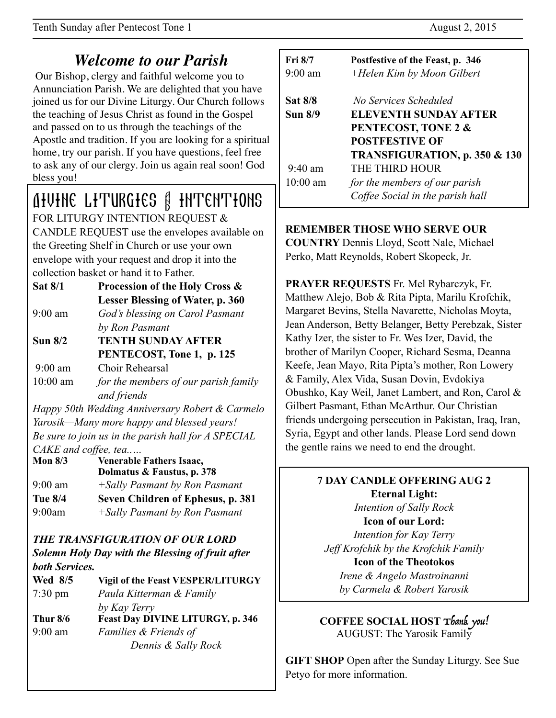# *Welcome to our Parish*

 Our Bishop, clergy and faithful welcome you to Annunciation Parish. We are delighted that you have joined us for our Divine Liturgy. Our Church follows the teaching of Jesus Christ as found in the Gospel and passed on to us through the teachings of the Apostle and tradition. If you are looking for a spiritual home, try our parish. If you have questions, feel free to ask any of our clergy. Join us again real soon! God bless you!

## Divine Liturgies & Intentions FOR LITURGY INTENTION REQUEST & CANDLE REQUEST use the envelopes available on

the Greeting Shelf in Church or use your own envelope with your request and drop it into the collection basket or hand it to Father.

- **Sat 8/1 Procession of the Holy Cross & Lesser Blessing of Water, p. 360**  9:00 am *God's blessing on Carol Pasmant by Ron Pasmant*
- **Sun 8/2 TENTH SUNDAY AFTER PENTECOST, Tone 1, p. 125**

9:00 am Choir Rehearsal

10:00 am *for the members of our parish family and friends* 

*Happy 50th Wedding Anniversary Robert & Carmelo Yarosik—Many more happy and blessed years! Be sure to join us in the parish hall for A SPECIAL CAKE and coffee, tea..…*

**Mon 8/3 Venerable Fathers Isaac, Dolmatus & Faustus, p. 378** 9:00 am *+Sally Pasmant by Ron Pasmant* **Tue 8/4 Seven Children of Ephesus, p. 381** 9:00am *+Sally Pasmant by Ron Pasmant* 

#### *THE TRANSFIGURATION OF OUR LORD Solemn Holy Day with the Blessing of fruit after both Services.*

| <i>DOUL Services.</i> |                                          |
|-----------------------|------------------------------------------|
| Wed 8/5               | <b>Vigil of the Feast VESPER/LITURGY</b> |
| $7:30 \text{ pm}$     | Paula Kitterman & Family                 |
|                       | by Kay Terry                             |
| Thur $8/6$            | <b>Feast Day DIVINE LITURGY, p. 346</b>  |
| $9:00$ am             | Families & Friends of                    |
|                       | Dennis & Sally Rock                      |
|                       |                                          |

| <b>Fri 8/7</b>    | Postfestive of the Feast, p. 346         |
|-------------------|------------------------------------------|
| $9:00 \text{ am}$ | +Helen Kim by Moon Gilbert               |
| <b>Sat 8/8</b>    | No Services Scheduled                    |
| <b>Sun 8/9</b>    | <b>ELEVENTH SUNDAY AFTER</b>             |
|                   | PENTECOST, TONE 2 &                      |
|                   | <b>POSTFESTIVE OF</b>                    |
|                   | <b>TRANSFIGURATION, p. 350 &amp; 130</b> |
| $9:40 \text{ am}$ | THE THIRD HOUR                           |
| $10:00$ am        | for the members of our parish            |
|                   | Coffee Social in the parish hall         |

## **REMEMBER THOSE WHO SERVE OUR**

**COUNTRY** Dennis Lloyd, Scott Nale, Michael Perko, Matt Reynolds, Robert Skopeck, Jr.

**PRAYER REQUESTS** Fr. Mel Rybarczyk, Fr. Matthew Alejo, Bob & Rita Pipta, Marilu Krofchik, Margaret Bevins, Stella Navarette, Nicholas Moyta, Jean Anderson, Betty Belanger, Betty Perebzak, Sister Kathy Izer, the sister to Fr. Wes Izer, David, the brother of Marilyn Cooper, Richard Sesma, Deanna Keefe, Jean Mayo, Rita Pipta's mother, Ron Lowery & Family, Alex Vida, Susan Dovin, Evdokiya Obushko, Kay Weil, Janet Lambert, and Ron, Carol & Gilbert Pasmant, Ethan McArthur. Our Christian friends undergoing persecution in Pakistan, Iraq, Iran, Syria, Egypt and other lands. Please Lord send down the gentle rains we need to end the drought.

# **7 DAY CANDLE OFFERING AUG 2 Eternal Light:**

*Intention of Sally Rock*  **Icon of our Lord:** 

*Intention for Kay Terry Jeff Krofchik by the Krofchik Family* 

## **Icon of the Theotokos**

*Irene & Angelo Mastroinanni by Carmela & Robert Yarosik* 

**COFFEE SOCIAL HOST** Thank you! AUGUST: The Yarosik Family

**GIFT SHOP** Open after the Sunday Liturgy. See Sue Petyo for more information.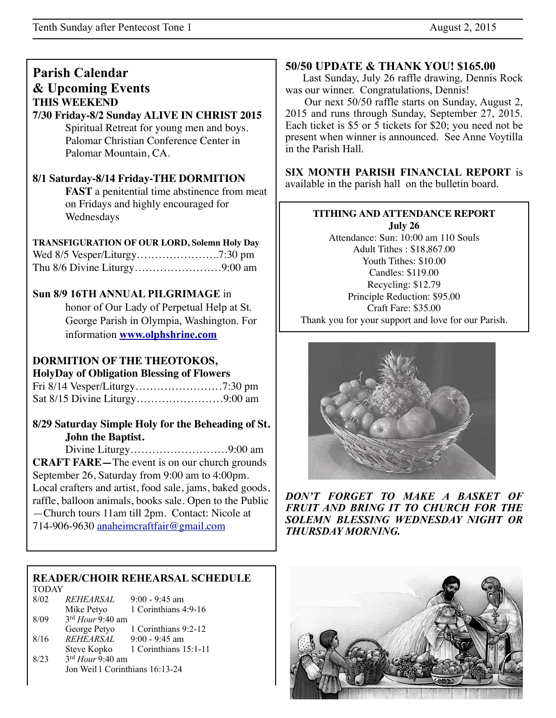## **Parish Calendar & Upcoming Events THIS WEEKEND**

### **7/30 Friday-8/2 Sunday ALIVE IN CHRIST 2015**

Spiritual Retreat for young men and boys. Palomar Christian Conference Center in Palomar Mountain, CA.

#### **8/1 Saturday-8/14 Friday-THE DORMITION**

**FAST** a penitential time abstinence from meat on Fridays and highly encouraged for Wednesdays

#### **TRANSFIGURATION OF OUR LORD, Solemn Holy Day**

### **Sun 8/9 16TH ANNUAL PILGRIMAGE** in

 honor of Our Lady of Perpetual Help at St. George Parish in Olympia, Washington. For information **[www.olphshrine.com](http://www.olphshrine.com)**

### **DORMITION OF THE THEOTOKOS,**

#### **HolyDay of Obligation Blessing of Flowers**

#### **8/29 Saturday Simple Holy for the Beheading of St. John the Baptist.**

Divine Liturgy………………………9:00 am **CRAFT FARE—**The event is on our church grounds September 26, Saturday from 9:00 am to 4:00pm. Local crafters and artist, food sale, jams, baked goods, raffle, balloon animals, books sale. Open to the Public

—Church tours 11am till 2pm. Contact: Nicole at 714-906-9630 [anaheimcraftfair@gmail.com](mailto:anaheimcraftfair@gmail.com)

#### **READER/CHOIR REHEARSAL SCHEDULE** TODAY

| 8/02 | REHEARSAL                       | $9:00 - 9:45$ am      |  |
|------|---------------------------------|-----------------------|--|
|      | Mike Petyo                      | 1 Corinthians 4:9-16  |  |
| 8/09 | 3rd Hour 9:40 am                |                       |  |
|      | George Petyo                    | 1 Corinthians 9:2-12  |  |
| 8/16 | <b>REHEARSAL</b>                | $9:00 - 9:45$ am      |  |
|      | Steve Kopko                     | 1 Corinthians 15:1-11 |  |
| 8/23 | 3rd Hour 9:40 am                |                       |  |
|      | Jon Weil 1 Corinthians 16:13-24 |                       |  |

#### **50/50 UPDATE & THANK YOU! \$165.00**

 Last Sunday, July 26 raffle drawing, Dennis Rock was our winner. Congratulations, Dennis!

 Our next 50/50 raffle starts on Sunday, August 2, 2015 and runs through Sunday, September 27, 2015. Each ticket is \$5 or 5 tickets for \$20; you need not be present when winner is announced. See Anne Voytilla in the Parish Hall.

**SIX MONTH PARISH FINANCIAL REPORT** is available in the parish hall on the bulletin board.

## **TITHING AND ATTENDANCE REPORT**

**July 26** Attendance: Sun: 10:00 am 110 Souls Adult Tithes : \$18,867.00 Youth Tithes: \$10.00 Candles: \$119.00 Recycling: \$12.79 Principle Reduction: \$95.00 Craft Fare: \$35.00 Thank you for your support and love for our Parish.



*DON'T FORGET TO MAKE A BASKET OF FRUIT AND BRING IT TO CHURCH FOR THE SOLEMN BLESSING WEDNESDAY NIGHT OR THURSDAY MORNING.*